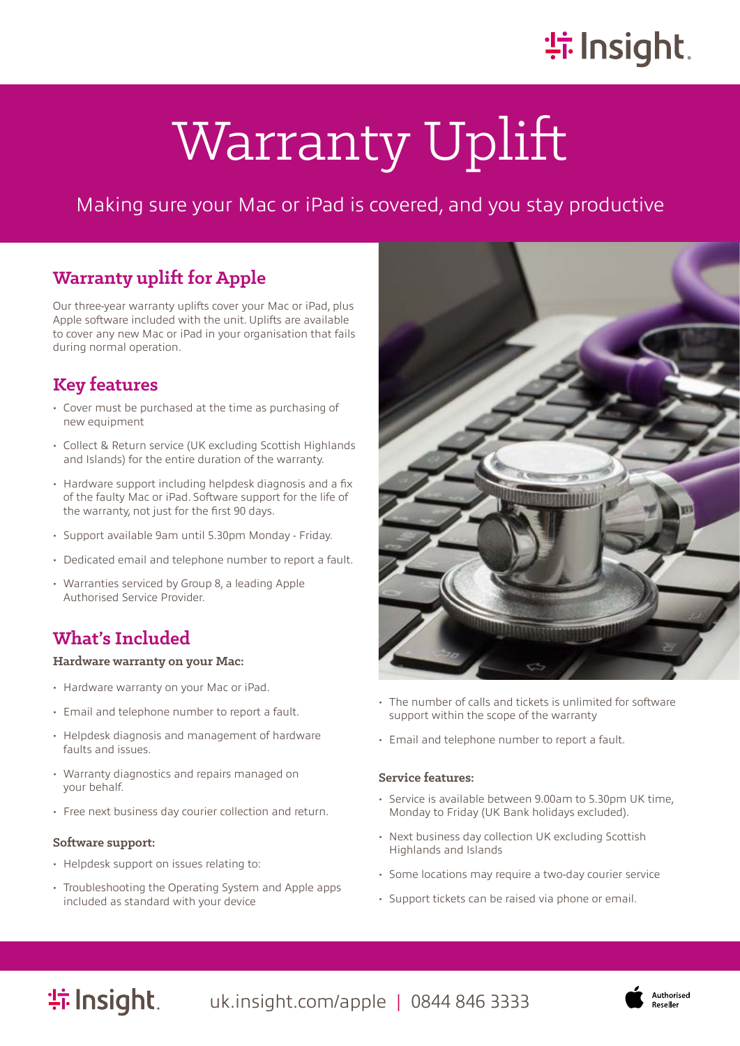# **崇 Insight**.

# Warranty Uplift

# Making sure your Mac or iPad is covered, and you stay productive

# **Warranty uplift for Apple**

Our three-year warranty uplifts cover your Mac or iPad, plus Apple software included with the unit. Uplifts are available to cover any new Mac or iPad in your organisation that fails during normal operation.

# **Key features**

- Cover must be purchased at the time as purchasing of new equipment
- Collect & Return service (UK excluding Scottish Highlands and Islands) for the entire duration of the warranty.
- Hardware support including helpdesk diagnosis and a fix of the faulty Mac or iPad. Software support for the life of the warranty, not just for the first 90 days.
- Support available 9am until 5.30pm Monday Friday.
- Dedicated email and telephone number to report a fault.
- Warranties serviced by Group 8, a leading Apple Authorised Service Provider.

## **What's Included**

#### **Hardware warranty on your Mac:**

- Hardware warranty on your Mac or iPad.
- Email and telephone number to report a fault.
- Helpdesk diagnosis and management of hardware faults and issues.
- Warranty diagnostics and repairs managed on your behalf.
- Free next business day courier collection and return.

#### **Software support:**

- Helpdesk support on issues relating to:
- Troubleshooting the Operating System and Apple apps included as standard with your device



- The number of calls and tickets is unlimited for software support within the scope of the warranty
- Email and telephone number to report a fault.

#### **Service features:**

- Service is available between 9.00am to 5.30pm UK time, Monday to Friday (UK Bank holidays excluded).
- Next business day collection UK excluding Scottish Highlands and Islands
- Some locations may require a two-day courier service
- Support tickets can be raised via phone or email.